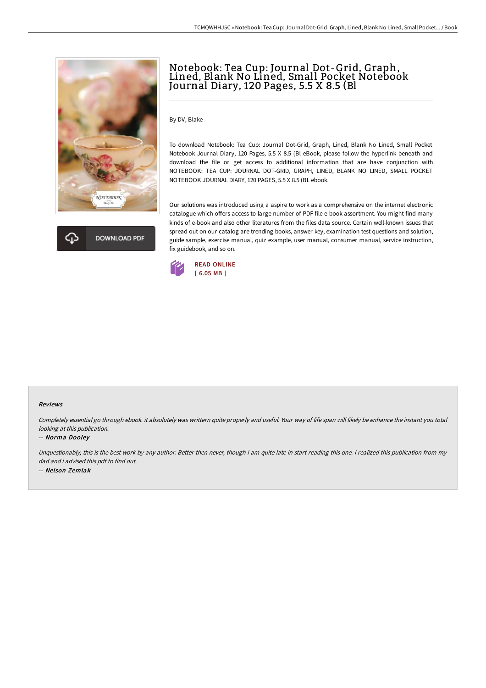



# Notebook: Tea Cup: Journal Dot-Grid, Graph, Lined, Blank No Lined, Small Pocket Notebook Journal Diary, 120 Pages, 5.5 X 8.5 (Bl

By DV, Blake

To download Notebook: Tea Cup: Journal Dot-Grid, Graph, Lined, Blank No Lined, Small Pocket Notebook Journal Diary, 120 Pages, 5.5 X 8.5 (Bl eBook, please follow the hyperlink beneath and download the file or get access to additional information that are have conjunction with NOTEBOOK: TEA CUP: JOURNAL DOT-GRID, GRAPH, LINED, BLANK NO LINED, SMALL POCKET NOTEBOOK JOURNAL DIARY, 120 PAGES, 5.5 X 8.5 (BL ebook.

Our solutions was introduced using a aspire to work as a comprehensive on the internet electronic catalogue which offers access to large number of PDF file e-book assortment. You might find many kinds of e-book and also other literatures from the files data source. Certain well-known issues that spread out on our catalog are trending books, answer key, examination test questions and solution, guide sample, exercise manual, quiz example, user manual, consumer manual, service instruction, fix guidebook, and so on.



### Reviews

Completely essential go through ebook. it absolutely was writtern quite properly and useful. Your way of life span will likely be enhance the instant you total looking at this publication.

### -- Norma Dooley

Unquestionably, this is the best work by any author. Better then never, though i am quite late in start reading this one. I realized this publication from my dad and i advised this pdf to find out. -- Nelson Zemlak